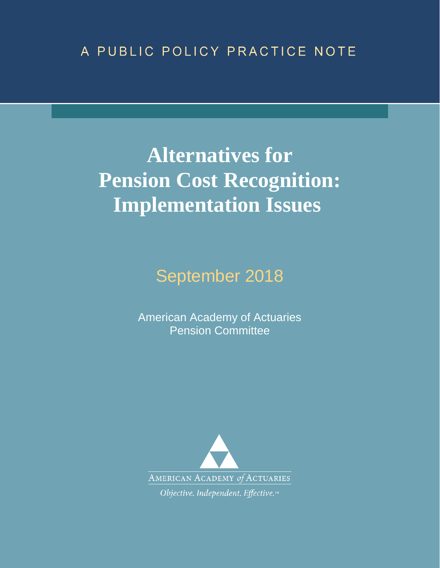# A PUBLIC POLICY PRACTICE NOTE

# **Alternatives for Pension Cost Recognition: Implementation Issues**

September 2018

American Academy of Actuaries Pension Committee

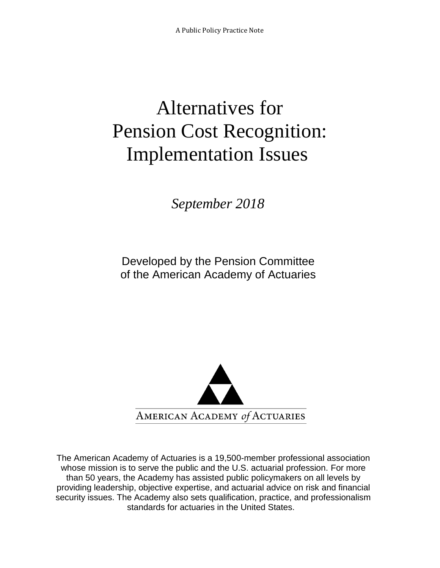# Alternatives for Pension Cost Recognition: Implementation Issues

*September 2018*

Developed by the Pension Committee of the American Academy of Actuaries



The American Academy of Actuaries is a 19,500-member professional association whose mission is to serve the public and the U.S. actuarial profession. For more than 50 years, the Academy has assisted public policymakers on all levels by providing leadership, objective expertise, and actuarial advice on risk and financial security issues. The Academy also sets qualification, practice, and professionalism standards for actuaries in the United States.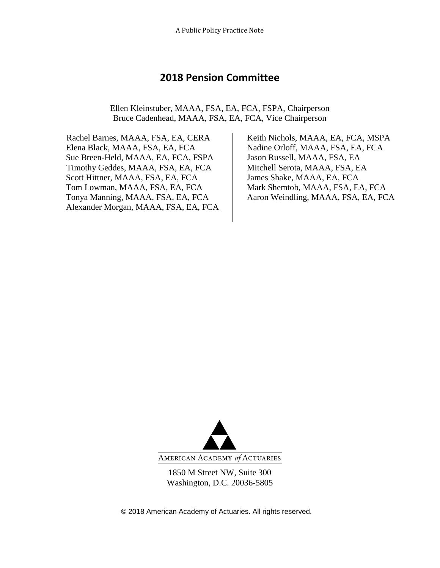#### **2018 Pension Committee**

Ellen Kleinstuber, MAAA, FSA, EA, FCA, FSPA, Chairperson Bruce Cadenhead, MAAA, FSA, EA, FCA, Vice Chairperson

 Rachel Barnes, MAAA, FSA, EA, CERA Elena Black, MAAA, FSA, EA, FCA Sue Breen-Held, MAAA, EA, FCA, FSPA Jason Russell, MAAA, FSA, EA Timothy Geddes, MAAA, FSA, EA, FCA Mitchell Serota, MAAA, FSA, EA Scott Hittner, MAAA, FSA, EA, FCA James Shake, MAAA, EA, FCA Tom Lowman, MAAA, FSA, EA, FCA Mark Shemtob, MAAA, FSA, EA, FCA Tonya Manning, MAAA, FSA, EA, FCA Aaron Weindling, MAAA, FSA, EA, FCA Alexander Morgan, MAAA, FSA, EA, FCA

Keith Nichols, MAAA, EA, FCA, MSPA Nadine Orloff, MAAA, FSA, EA, FCA



AMERICAN ACADEMY of ACTUARIES

1850 M Street NW, Suite 300 Washington, D.C. 20036-5805

© 2018 American Academy of Actuaries. All rights reserved.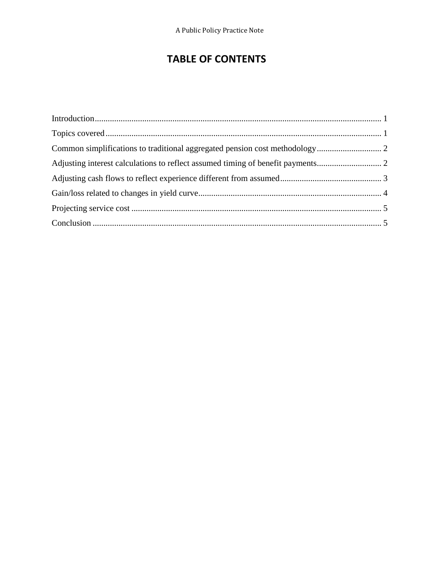### **TABLE OF CONTENTS**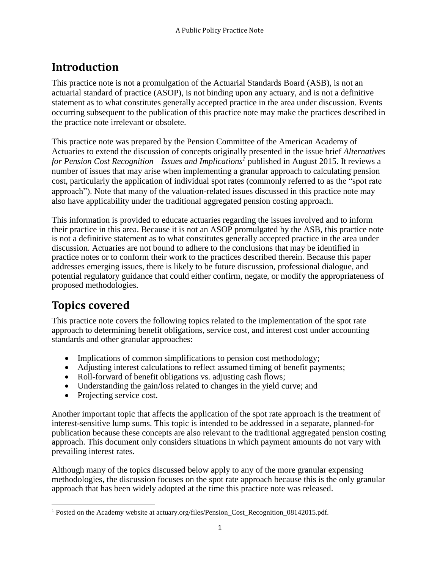# <span id="page-4-0"></span>**Introduction**

This practice note is not a promulgation of the Actuarial Standards Board (ASB), is not an actuarial standard of practice (ASOP), is not binding upon any actuary, and is not a definitive statement as to what constitutes generally accepted practice in the area under discussion. Events occurring subsequent to the publication of this practice note may make the practices described in the practice note irrelevant or obsolete.

This practice note was prepared by the Pension Committee of the American Academy of Actuaries to extend the discussion of concepts originally presented in the issue brief *[Alternatives](http://actuary.org/files/Pension_Cost_Recognition_08142015.pdf)  [for Pension Cost Recognition—Issues and Implications](http://actuary.org/files/Pension_Cost_Recognition_08142015.pdf)<sup>1</sup>* published in August 2015. It reviews a number of issues that may arise when implementing a granular approach to calculating pension cost, particularly the application of individual spot rates (commonly referred to as the "spot rate approach"). Note that many of the valuation-related issues discussed in this practice note may also have applicability under the traditional aggregated pension costing approach.

This information is provided to educate actuaries regarding the issues involved and to inform their practice in this area. Because it is not an ASOP promulgated by the ASB, this practice note is not a definitive statement as to what constitutes generally accepted practice in the area under discussion. Actuaries are not bound to adhere to the conclusions that may be identified in practice notes or to conform their work to the practices described therein. Because this paper addresses emerging issues, there is likely to be future discussion, professional dialogue, and potential regulatory guidance that could either confirm, negate, or modify the appropriateness of proposed methodologies.

# <span id="page-4-1"></span>**Topics covered**

This practice note covers the following topics related to the implementation of the spot rate approach to determining benefit obligations, service cost, and interest cost under accounting standards and other granular approaches:

- Implications of common simplifications to pension cost methodology;
- Adjusting interest calculations to reflect assumed timing of benefit payments;
- Roll-forward of benefit obligations vs. adjusting cash flows;
- Understanding the gain/loss related to changes in the yield curve; and
- Projecting service cost.

Another important topic that affects the application of the spot rate approach is the treatment of interest-sensitive lump sums. This topic is intended to be addressed in a separate, planned-for publication because these concepts are also relevant to the traditional aggregated pension costing approach. This document only considers situations in which payment amounts do not vary with prevailing interest rates.

Although many of the topics discussed below apply to any of the more granular expensing methodologies, the discussion focuses on the spot rate approach because this is the only granular approach that has been widely adopted at the time this practice note was released.

 $\overline{\phantom{a}}$ <sup>1</sup> Posted on the Academy website at actuary.org/files/Pension\_Cost\_Recognition\_08142015.pdf.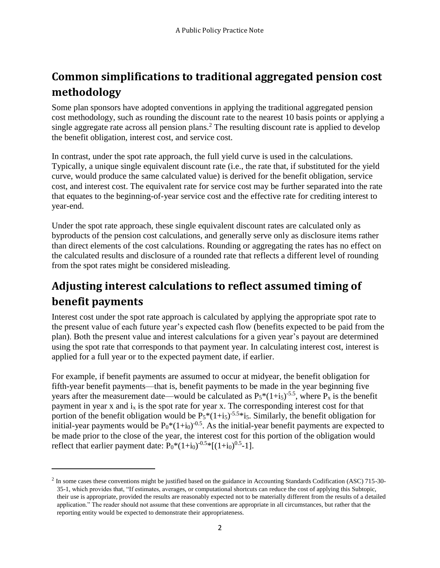# <span id="page-5-0"></span>**Common simplifications to traditional aggregated pension cost methodology**

Some plan sponsors have adopted conventions in applying the traditional aggregated pension cost methodology, such as rounding the discount rate to the nearest 10 basis points or applying a single aggregate rate across all pension plans.<sup>2</sup> The resulting discount rate is applied to develop the benefit obligation, interest cost, and service cost.

In contrast, under the spot rate approach, the full yield curve is used in the calculations. Typically, a unique single equivalent discount rate (i.e., the rate that, if substituted for the yield curve, would produce the same calculated value) is derived for the benefit obligation, service cost, and interest cost. The equivalent rate for service cost may be further separated into the rate that equates to the beginning-of-year service cost and the effective rate for crediting interest to year-end.

Under the spot rate approach, these single equivalent discount rates are calculated only as byproducts of the pension cost calculations, and generally serve only as disclosure items rather than direct elements of the cost calculations. Rounding or aggregating the rates has no effect on the calculated results and disclosure of a rounded rate that reflects a different level of rounding from the spot rates might be considered misleading.

# <span id="page-5-1"></span>**Adjusting interest calculations to reflect assumed timing of benefit payments**

Interest cost under the spot rate approach is calculated by applying the appropriate spot rate to the present value of each future year's expected cash flow (benefits expected to be paid from the plan). Both the present value and interest calculations for a given year's payout are determined using the spot rate that corresponds to that payment year. In calculating interest cost, interest is applied for a full year or to the expected payment date, if earlier.

For example, if benefit payments are assumed to occur at midyear, the benefit obligation for fifth-year benefit payments—that is, benefit payments to be made in the year beginning five years after the measurement date—would be calculated as  $P_5*(1+i_5)^{-5.5}$ , where  $P_x$  is the benefit payment in year x and  $i_x$  is the spot rate for year x. The corresponding interest cost for that portion of the benefit obligation would be  $P_5*(1+i_5)^{-5.5}*i_5$ . Similarly, the benefit obligation for initial-year payments would be  $P_0^*(1+i_0)^{-0.5}$ . As the initial-year benefit payments are expected to be made prior to the close of the year, the interest cost for this portion of the obligation would reflect that earlier payment date:  $P_0^*(1+i_0)^{-0.5*}[(1+i_0)^{0.5} - 1]$ .

 $\overline{\phantom{a}}$ 

 $2$  In some cases these conventions might be justified based on the guidance in Accounting Standards Codification (ASC) 715-30-35-1, which provides that, "If estimates, averages, or computational shortcuts can reduce the cost of applying this Subtopic, their use is appropriate, provided the results are reasonably expected not to be materially different from the results of a detailed application." The reader should not assume that these conventions are appropriate in all circumstances, but rather that the reporting entity would be expected to demonstrate their appropriateness.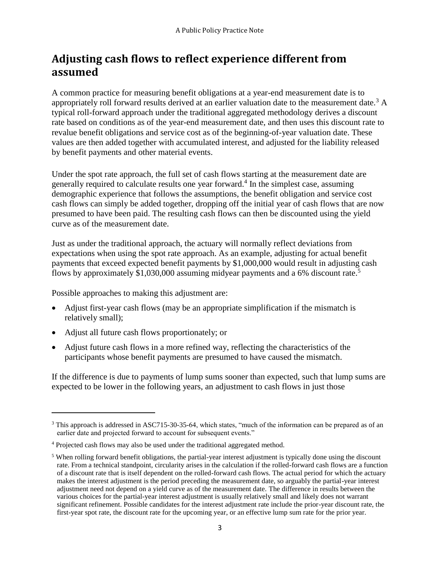## <span id="page-6-0"></span>**Adjusting cash flows to reflect experience different from assumed**

A common practice for measuring benefit obligations at a year-end measurement date is to appropriately roll forward results derived at an earlier valuation date to the measurement date.<sup>3</sup> A typical roll-forward approach under the traditional aggregated methodology derives a discount rate based on conditions as of the year-end measurement date, and then uses this discount rate to revalue benefit obligations and service cost as of the beginning-of-year valuation date. These values are then added together with accumulated interest, and adjusted for the liability released by benefit payments and other material events.

Under the spot rate approach, the full set of cash flows starting at the measurement date are generally required to calculate results one year forward. 4 In the simplest case, assuming demographic experience that follows the assumptions, the benefit obligation and service cost cash flows can simply be added together, dropping off the initial year of cash flows that are now presumed to have been paid. The resulting cash flows can then be discounted using the yield curve as of the measurement date.

Just as under the traditional approach, the actuary will normally reflect deviations from expectations when using the spot rate approach. As an example, adjusting for actual benefit payments that exceed expected benefit payments by \$1,000,000 would result in adjusting cash flows by approximately \$1,030,000 assuming midyear payments and a 6% discount rate.<sup>5</sup>

Possible approaches to making this adjustment are:

- Adjust first-year cash flows (may be an appropriate simplification if the mismatch is relatively small);
- Adjust all future cash flows proportionately; or

 $\overline{\phantom{a}}$ 

 Adjust future cash flows in a more refined way, reflecting the characteristics of the participants whose benefit payments are presumed to have caused the mismatch.

If the difference is due to payments of lump sums sooner than expected, such that lump sums are expected to be lower in the following years, an adjustment to cash flows in just those

<sup>&</sup>lt;sup>3</sup> This approach is addressed in ASC715-30-35-64, which states, "much of the information can be prepared as of an earlier date and projected forward to account for subsequent events."

<sup>&</sup>lt;sup>4</sup> Projected cash flows may also be used under the traditional aggregated method.

<sup>5</sup> When rolling forward benefit obligations, the partial-year interest adjustment is typically done using the discount rate. From a technical standpoint, circularity arises in the calculation if the rolled-forward cash flows are a function of a discount rate that is itself dependent on the rolled-forward cash flows. The actual period for which the actuary makes the interest adjustment is the period preceding the measurement date, so arguably the partial-year interest adjustment need not depend on a yield curve as of the measurement date. The difference in results between the various choices for the partial-year interest adjustment is usually relatively small and likely does not warrant significant refinement. Possible candidates for the interest adjustment rate include the prior-year discount rate, the first-year spot rate, the discount rate for the upcoming year, or an effective lump sum rate for the prior year.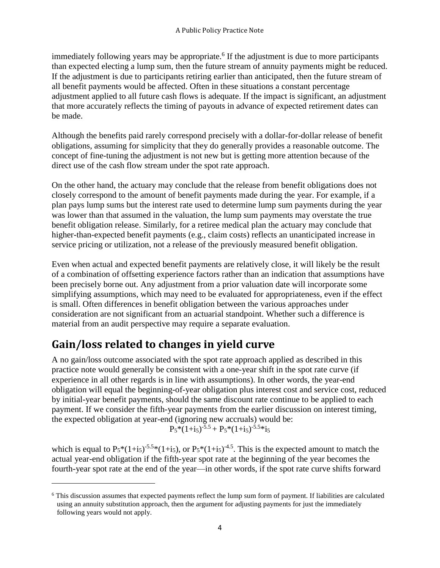immediately following years may be appropriate.<sup>6</sup> If the adjustment is due to more participants than expected electing a lump sum, then the future stream of annuity payments might be reduced. If the adjustment is due to participants retiring earlier than anticipated, then the future stream of all benefit payments would be affected. Often in these situations a constant percentage adjustment applied to all future cash flows is adequate. If the impact is significant, an adjustment that more accurately reflects the timing of payouts in advance of expected retirement dates can be made.

Although the benefits paid rarely correspond precisely with a dollar-for-dollar release of benefit obligations, assuming for simplicity that they do generally provides a reasonable outcome. The concept of fine-tuning the adjustment is not new but is getting more attention because of the direct use of the cash flow stream under the spot rate approach.

On the other hand, the actuary may conclude that the release from benefit obligations does not closely correspond to the amount of benefit payments made during the year. For example, if a plan pays lump sums but the interest rate used to determine lump sum payments during the year was lower than that assumed in the valuation, the lump sum payments may overstate the true benefit obligation release. Similarly, for a retiree medical plan the actuary may conclude that higher-than-expected benefit payments (e.g., claim costs) reflects an unanticipated increase in service pricing or utilization, not a release of the previously measured benefit obligation.

Even when actual and expected benefit payments are relatively close, it will likely be the result of a combination of offsetting experience factors rather than an indication that assumptions have been precisely borne out. Any adjustment from a prior valuation date will incorporate some simplifying assumptions, which may need to be evaluated for appropriateness, even if the effect is small. Often differences in benefit obligation between the various approaches under consideration are not significant from an actuarial standpoint. Whether such a difference is material from an audit perspective may require a separate evaluation.

# <span id="page-7-0"></span>**Gain/loss related to changes in yield curve**

 $\overline{\phantom{a}}$ 

A no gain/loss outcome associated with the spot rate approach applied as described in this practice note would generally be consistent with a one-year shift in the spot rate curve (if experience in all other regards is in line with assumptions). In other words, the year-end obligation will equal the beginning-of-year obligation plus interest cost and service cost, reduced by initial-year benefit payments, should the same discount rate continue to be applied to each payment. If we consider the fifth-year payments from the earlier discussion on interest timing, the expected obligation at year-end (ignoring new accruals) would be:

$$
P_5*(1+i_5)^{-5.5} + P_5*(1+i_5)^{-5.5}*i_5
$$

which is equal to  $P_5*(1+i_5)$ <sup>-5.5</sup>\*(1+i<sub>5</sub>), or  $P_5*(1+i_5)$ <sup>-4.5</sup>. This is the expected amount to match the actual year-end obligation if the fifth-year spot rate at the beginning of the year becomes the fourth-year spot rate at the end of the year—in other words, if the spot rate curve shifts forward

<sup>6</sup> This discussion assumes that expected payments reflect the lump sum form of payment. If liabilities are calculated using an annuity substitution approach, then the argument for adjusting payments for just the immediately following years would not apply.